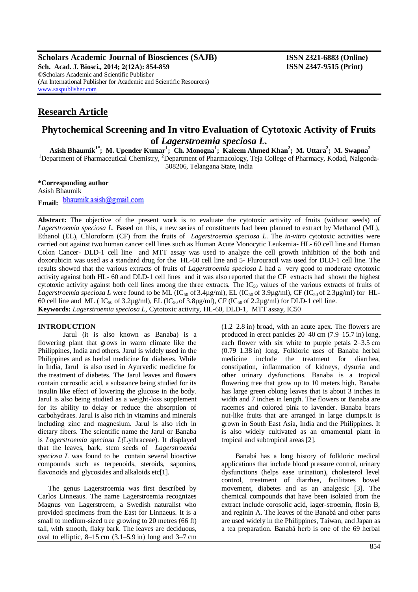**Scholars Academic Journal of Biosciences (SAJB) ISSN 2321-6883 (Online) Sch. Acad. J. Biosci., 2014; 2(12A): 854-859 ISSN 2347-9515 (Print)** ©Scholars Academic and Scientific Publisher (An International Publisher for Academic and Scientific Resources) [www.saspublisher.com](http://www.saspublisher.com/)

# **Research Article**

# **Phytochemical Screening and In vitro Evaluation of Cytotoxic Activity of Fruits of** *Lagerstroemia speciosa L.*

**Asish Bhaumik1\*; M. Upender Kumar<sup>1</sup> ; Ch. Monogna<sup>1</sup> ; Kaleem Ahmed Khan<sup>2</sup> ; M. Uttara<sup>2</sup> ; M. Swapna<sup>2</sup>**

<sup>1</sup>Department of Pharmaceutical Chemistry, <sup>2</sup>Department of Pharmacology, Teja College of Pharmacy, Kodad, Nalgonda-508206, Telangana State, India

# **\*Corresponding author**

Asish Bhaumik bhaumik.asish@gmail.com **Email:**

**Abstract:** The objective of the present work is to evaluate the cytotoxic activity of fruits (without seeds) of *Lagerstroemia speciosa L.* Based on this, a new series of constituents had been planned to extract by Methanol (ML), Ethanol (EL), Chloroform (CF) from the fruits of *Lagerstroemia speciosa L*. The *in-vitro* cytotoxic activities were carried out against two human cancer cell lines such as Human Acute Monocytic Leukemia- HL- 60 cell line and Human Colon Cancer- DLD-1 cell line and MTT assay was used to analyze the cell growth inhibition of the both and doxorubicin was used as a standard drug for the HL-60 cell line and 5- Flurouracil was used for DLD-1 cell line. The results showed that the various extracts of fruits of *Lagerstroemia speciosa L* had a very good to moderate cytotoxic activity against both HL- 60 and DLD-1 cell lines and it was also reported that the CF extracts had shown the highest cytotoxic activity against both cell lines among the three extracts. The  $IC_{50}$  values of the various extracts of fruits of Lagerstroemia speciosa L were found to be ML (IC<sub>50</sub> of 3.4µg/ml), EL (IC<sub>50</sub> of 3.9µg/ml), CF (IC<sub>50</sub> of 2.3µg/ml) for HL-60 cell line and ML ( $IC_{50}$  of 3.2µg/ml), EL ( $IC_{50}$  of 3.8µg/ml), CF ( $IC_{50}$  of 2.2µg/ml) for DLD-1 cell line. **Keywords:** *Lagerstroemia speciosa L,* Cytotoxic activity, HL-60, DLD-1, MTT assay, IC50

# **INTRODUCTION**

Jarul (it is also known as Banaba) is a flowering plant that grows in warm climate like the Philippines, India and others. Jarul is widely used in the Philippines and as herbal medicine for diabetes. While in India, Jarul is also used in Ayurvedic medicine for the treatment of diabetes. The Jarul leaves and flowers contain corrosolic acid, a substance being studied for its insulin like effect of lowering the glucose in the body. Jarul is also being studied as a weight-loss supplement for its ability to delay or reduce the absorption of carbohydraes. Jarul is also rich in vitamins and minerals including zinc and magnesium. Jarul is also rich in dietary fibers. The scientific name the Jarul or Banaba is *Lagerstroemia speciosa L(*Lythraceae). It displayed that the leaves, bark, stem seeds of *Lagerstroemia speciosa L* was found to be contain several bioactive compounds such as terpenoids, steroids, saponins, flavonoids and glycosides and alkaloids etc[1].

 The genus Lagerstroemia was first described by Carlos Linneaus. The name Lagerstroemia recognizes Magnus von Lagerstroem, a Swedish naturalist who provided specimens from the East for Linnaeus. It is a small to medium-sized [tree](http://en.wikipedia.org/wiki/Tree) growing to 20 metres (66 ft) tall, with smooth, flaky bark. The [leaves](http://en.wikipedia.org/wiki/Leaf) are [deciduous,](http://en.wikipedia.org/wiki/Deciduous)  oval to elliptic,  $8-15$  cm  $(3.1-5.9)$  in long and  $3-7$  cm

(1.2–2.8 in) broad, with an acute apex. The [flowers](http://en.wikipedia.org/wiki/Flower) are produced in erect [panicles](http://en.wikipedia.org/wiki/Panicle) 20–40 cm (7.9–15.7 in) long, each flower with six white to purple petals 2–3.5 cm (0.79–1.38 in) long. Folkloric uses of Banaba herbal medicine include the treatment for diarrhea, constipation, inflammation of kidneys, dysuria and other urinary dysfunctions. Banaba is a tropical flowering tree that grow up to 10 meters high. Banaba has large green oblong leaves that is about 3 inches in width and 7 inches in length. The flowers or Banaba are racemes and colored pink to lavender. Banaba bears nut-like fruits that are arranged in large clumps.It is grown in [South East Asia,](http://en.wikipedia.org/wiki/South_East_Asia) [India](http://en.wikipedia.org/wiki/India) and the [Philippines.](http://en.wikipedia.org/wiki/Philippines) It is also widely cultivated as an [ornamental plant](http://en.wikipedia.org/wiki/Ornamental_plant) in tropical an[d subtropical areas](http://en.wikipedia.org/wiki/Subtropics) [2].

 Banabá has a long history of folkloric medical applications that include blood pressure control, urinary dysfunctions (helps ease urination), cholesterol level control, treatment of diarrhea, facilitates bowel movement, diabetes and as an analgesic [3]. The chemical compounds that have been isolated from the extract include [corosolic acid,](http://en.wikipedia.org/wiki/Corosolic_acid) [lager-stroemin,](http://en.wikipedia.org/w/index.php?title=Lager-stroemin&action=edit&redlink=1) [flosin B,](http://en.wikipedia.org/w/index.php?title=Flosin_B&action=edit&redlink=1) an[d reginin A.](http://en.wikipedia.org/w/index.php?title=Reginin_A&action=edit&redlink=1) The leaves of the Banabá and other parts are used widely in the Philippines[, Taiwan,](http://en.wikipedia.org/wiki/Taiwan) an[d Japan](http://en.wikipedia.org/wiki/Japan) as a tea preparation. Banabá herb is one of the 69 herbal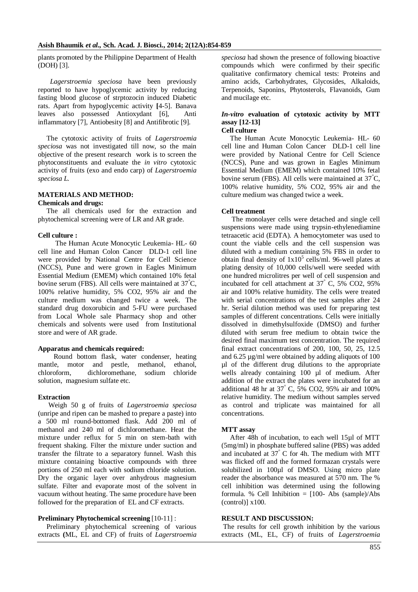plants promoted by the Philippine Department of Health (DOH) [3].

*Lagerstroemia speciosa* have been previously reported to have hypoglycemic activity by reducing fasting blood glucose of strptozocin induced Diabetic rats. Apart from hypoglycemic activity **[**4-5]. Banava leaves also possessed Antioxydant [6], Anti inflammatory [7], Antiobesity [8] and Antifibrotic [9].

The cytotoxic activity of fruits of *Lagerstroemia speciosa* was not investigated till now, so the main objective of the present research work is to screen the phytoconstituents and evaluate the *in vitro* cytotoxic activity of fruits (exo and endo carp) of *Lagerstroemia speciosa L.*

### **MATERIALS AND METHOD:**

## **Chemicals and drugs:**

The all chemicals used for the extraction and phytochemical screening were of LR and AR grade.

#### **Cell culture :**

 The Human Acute Monocytic Leukemia- HL- 60 cell line and Human Colon Cancer DLD-1 cell line were provided by National Centre for Cell Science (NCCS), Pune and were grown in Eagles Minimum Essential Medium (EMEM) which contained 10% fetal bovine serum (FBS). All cells were maintained at  $37^{\circ}$ C, 100% relative humidity, 5% CO2, 95% air and the culture medium was changed twice a week. The standard drug doxorubicin and 5-FU were purchased from Local Whole sale Pharmacy shop and other chemicals and solvents were used from Institutional store and were of AR grade.

## **Apparatus and chemicals required:**

Round bottom flask, water condenser, heating mantle, motor and pestle, methanol, ethanol, chloroform, dichloromethane, sodium chloride solution, magnesium sulfate etc.

#### **Extraction**

Weigh 50 g of fruits of *Lagerstroemia speciosa* (unripe and ripen can be mashed to prepare a paste) into a 500 ml round-bottomed flask. Add 200 ml of methanol and 240 ml of dichloromethane. Heat the mixture under reflux for 5 min on stem-bath with frequent shaking. Filter the mixture under suction and transfer the filtrate to a separatory funnel. Wash this mixture containing bioactive compounds with three portions of 250 ml each with sodium chloride solution. Dry the organic layer over anhydrous magnesium sulfate. Filter and evaporate most of the solvent in vacuum without heating. The same procedure have been followed for the preparation of EL and CF extracts.

#### **Preliminary Phytochemical screening** [10-11] :

 Preliminary phytochemical screening of various extracts **(**ML, EL and CF) of fruits of *Lagerstroemia*  *speciosa* had shown the presence of following bioactive compounds which were confirmed by their specific qualitative confirmatory chemical tests: Proteins and amino acids, Carbohydrates, Glycosides, Alkaloids, Terpenoids, Saponins, Phytosterols, Flavanoids, Gum and mucilage etc.

# *In-vitro* **evaluation of cytotoxic activity by MTT assay [12-13]**

**Cell culture**

 The Human Acute Monocytic Leukemia- HL- 60 cell line and Human Colon Cancer DLD-1 cell line were provided by National Centre for Cell Science (NCCS), Pune and was grown in Eagles Minimum Essential Medium (EMEM) which contained 10% fetal bovine serum (FBS). All cells were maintained at  $37^{\circ}$ C, 100% relative humidity, 5% CO2, 95% air and the culture medium was changed twice a week.

## **Cell treatment**

 The monolayer cells were detached and single cell suspensions were made using trypsin-ethylenediamine tetraacetic acid (EDTA). A hemocytometer was used to count the viable cells and the cell suspension was diluted with a medium containing 5% FBS in order to obtain final density of  $1x10^5$  cells/ml. 96-well plates at plating density of 10,000 cells/well were seeded with one hundred microlitres per well of cell suspension and incubated for cell attachment at  $37\degree$  C, 5% CO2, 95% air and 100% relative humidity. The cells were treated with serial concentrations of the test samples after 24 hr. Serial dilution method was used for preparing test samples of different concentrations. Cells were initially dissolved in dimethylsulfoxide (DMSO) and further diluted with serum free medium to obtain twice the desired final maximum test concentration. The required final extract concentrations of 200, 100, 50, 25, 12.5 and 6.25 µg/ml were obtained by adding aliquots of 100 µl of the different drug dilutions to the appropriate wells already containing 100 µl of medium. After addition of the extract the plates were incubated for an additional 48 hr at 37° C, 5% CO2, 95% air and 100% relative humidity. The medium without samples served as control and triplicate was maintained for all concentrations.

#### **MTT assay**

After 48h of incubation, to each well 15µl of MTT (5mg/ml) in phosphate buffered saline (PBS) was added and incubated at 37° C for 4h. The medium with MTT was flicked off and the formed formazan crystals were solubilized in 100µl of DMSO. Using micro plate reader the absorbance was measured at 570 nm. The % cell inhibition was determined using the following formula. % Cell Inhibition = [100- Abs (sample)/Abs (control)] x100.

## **RESULT AND DISCUSSION:**

The results for cell growth inhibition by the various extracts (ML, EL, CF) of fruits of *Lagerstroemia*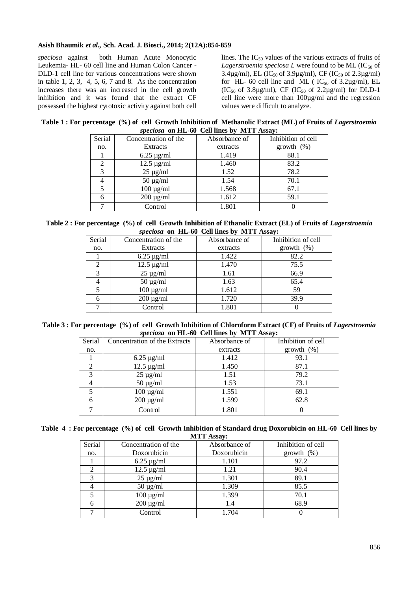# **Asish Bhaumik** *et al.,* **Sch. Acad. J. Biosci., 2014; 2(12A):854-859**

*speciosa* against both Human Acute Monocytic Leukemia- HL- 60 cell line and Human Colon Cancer - DLD-1 cell line for various concentrations were shown in table  $1, 2, 3, 4, 5, 6, 7$  and  $8$ . As the concentration increases there was an increased in the cell growth inhibition and it was found that the extract CF possessed the highest cytotoxic activity against both cell lines. The  $IC_{50}$  values of the various extracts of fruits of Lagerstroemia speciosa  $L$  were found to be ML (IC<sub>50</sub> of 3.4 $\mu$ g/ml), EL (IC<sub>50</sub> of 3.9 $\mu$ g/ml), CF (IC<sub>50</sub> of 2.3 $\mu$ g/ml) for HL- 60 cell line and ML ( $IC_{50}$  of 3.2 $\mu$ g/ml), EL  $(IC_{50}$  of 3.8µg/ml), CF  $(IC_{50}$  of 2.2µg/ml) for DLD-1 cell line were more than 100µg/ml and the regression values were difficult to analyze.

|                                            | Table 1 : For percentage (%) of cell Growth Inhibition of Methanolic Extract (ML) of Fruits of Lagerstroemia |  |
|--------------------------------------------|--------------------------------------------------------------------------------------------------------------|--|
| speciosa on HL-60 Cell lines by MTT Assay: |                                                                                                              |  |

| Serial | Concentration of the | Absorbance of | Inhibition of cell |
|--------|----------------------|---------------|--------------------|
| no.    | Extracts             | extracts      | growth $(\%)$      |
|        | $6.25 \mu g/ml$      | 1.419         | 88.1               |
| 2      | $12.5 \mu g/ml$      | 1.460         | 83.2               |
| 3      | $25 \mu g/ml$        | 1.52          | 78.2               |
|        | $50 \mu g/ml$        | 1.54          | 70.1               |
|        | $100 \mu g/ml$       | 1.568         | 67.1               |
|        | $200 \mu g/ml$       | 1.612         | 59.1               |
|        | Control              | 1.801         |                    |

Table 2 : For percentage (%) of cell Growth Inhibition of Ethanolic Extract (EL) of Fruits of *Lagerstroemia speciosa* **on HL-60 Cell lines by MTT Assay:**

| Serial | Concentration of the | Absorbance of | Inhibition of cell |
|--------|----------------------|---------------|--------------------|
| no.    | Extracts             | extracts      | growth $(\%)$      |
|        | $6.25 \mu g/ml$      | 1.422         | 82.2               |
|        | $12.5 \mu g/ml$      | 1.470         | 75.5               |
| 3      | $25 \mu g/ml$        | 1.61          | 66.9               |
|        | $50 \mu g/ml$        | 1.63          | 65.4               |
|        | $100 \mu g/ml$       | 1.612         | 59                 |
|        | $200 \mu g/ml$       | 1.720         | 39.9               |
|        | Control              | 1.801         |                    |

Table 3 : For percentage (%) of cell Growth Inhibition of Chloroform Extract (CF) of Fruits of *Lagerstroemia speciosa* **on HL-60 Cell lines by MTT Assay:**

| Serial | Concentration of the Extracts | Absorbance of | Inhibition of cell |
|--------|-------------------------------|---------------|--------------------|
| no.    |                               | extracts      | growth $(\%)$      |
|        | $6.25 \mu g/ml$               | 1.412         | 93.1               |
|        | $12.5 \text{ µg/ml}$          | 1.450         | 87.1               |
|        | $25 \mu g/ml$                 | 1.51          | 79.2               |
|        | $50 \mu g/ml$                 | 1.53          | 73.1               |
|        | $100 \mu g/ml$                | 1.551         | 69.1               |
|        | $200 \mu g/ml$                | 1.599         | 62.8               |
|        | Control                       | 1.801         |                    |
|        |                               |               |                    |

|  | Table 4: For percentage (%) of cell Growth Inhibition of Standard drug Doxorubicin on HL-60 Cell lines by |  |
|--|-----------------------------------------------------------------------------------------------------------|--|
|  | <b>MTT Assay:</b>                                                                                         |  |

|        | пти и газзау.        |               |                    |  |  |
|--------|----------------------|---------------|--------------------|--|--|
| Serial | Concentration of the | Absorbance of | Inhibition of cell |  |  |
| no.    | Doxorubicin          | Doxorubicin   | growth $(\%)$      |  |  |
|        | $6.25 \mu g/ml$      | 1.101         | 97.2               |  |  |
|        | $12.5 \mu g/ml$      | 1.21          | 90.4               |  |  |
| 3      | $25 \mu g/ml$        | 1.301         | 89.1               |  |  |
|        | $50 \mu g/ml$        | 1.309         | 85.5               |  |  |
|        | $100 \mu g/ml$       | 1.399         | 70.1               |  |  |
|        | $200 \mu g/ml$       | 1.4           | 68.9               |  |  |
|        | Control              | 1.704         |                    |  |  |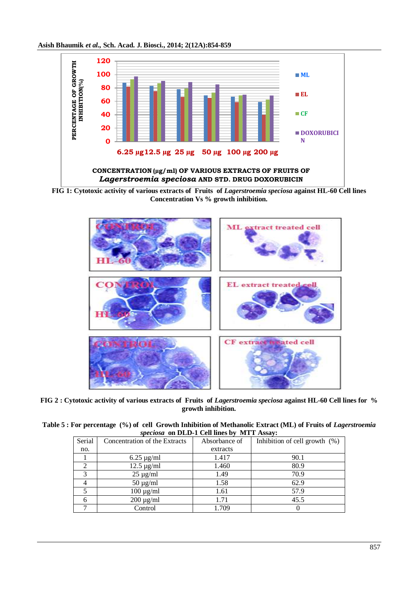







**FIG 2 : Cytotoxic activity of various extracts of Fruits of** *Lagerstroemia speciosa* **against HL-60 Cell lines for % growth inhibition.**

Table 5 : For percentage (%) of cell Growth Inhibition of Methanolic Extract (ML) of Fruits of *Lagerstroemia speciosa* **on DLD-1 Cell lines by MTT Assay:**

| Serial | Concentration of the Extracts | Absorbance of | Inhibition of cell growth $(\%)$ |
|--------|-------------------------------|---------------|----------------------------------|
| no.    |                               | extracts      |                                  |
|        | $6.25 \mu g/ml$               | 1.417         | 90.1                             |
|        | $12.5 \text{ µg/ml}$          | 1.460         | 80.9                             |
|        | $25 \mu g/ml$                 | 1.49          | 70.9                             |
|        | $50 \mu g/ml$                 | 1.58          | 62.9                             |
|        | $100 \mu g/ml$                | 1.61          | 57.9                             |
|        | $200 \mu g/ml$                | 1.71          | 45.5                             |
|        | Control                       | 1.709         |                                  |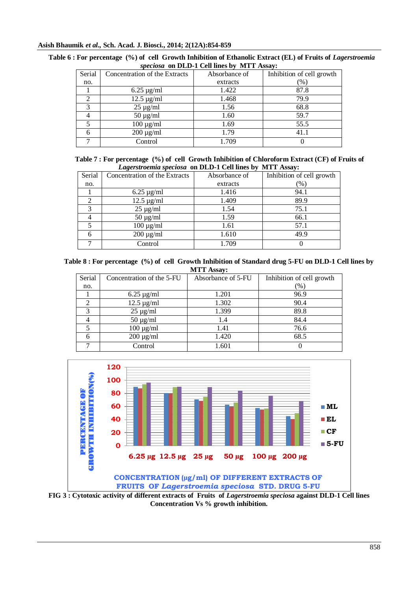## **Asish Bhaumik** *et al.,* **Sch. Acad. J. Biosci., 2014; 2(12A):854-859**

|                | $\frac{1}{2}$ $\frac{1}{2}$ $\frac{1}{2}$ $\frac{1}{2}$ $\frac{1}{2}$ $\frac{1}{2}$ $\frac{1}{2}$ $\frac{1}{2}$ $\frac{1}{2}$ $\frac{1}{2}$ $\frac{1}{2}$ $\frac{1}{2}$ $\frac{1}{2}$ $\frac{1}{2}$ $\frac{1}{2}$ $\frac{1}{2}$ $\frac{1}{2}$ $\frac{1}{2}$ $\frac{1}{2}$ $\frac{1}{2}$ $\frac{1}{2}$ $\frac{1}{2}$ |               |                           |  |  |
|----------------|---------------------------------------------------------------------------------------------------------------------------------------------------------------------------------------------------------------------------------------------------------------------------------------------------------------------|---------------|---------------------------|--|--|
| Serial         | Concentration of the Extracts                                                                                                                                                                                                                                                                                       | Absorbance of | Inhibition of cell growth |  |  |
| no.            |                                                                                                                                                                                                                                                                                                                     | extracts      | $(\%)$                    |  |  |
|                | $6.25 \mu g/ml$                                                                                                                                                                                                                                                                                                     | 1.422         | 87.8                      |  |  |
| $\mathfrak{D}$ | $12.5 \mu g/ml$                                                                                                                                                                                                                                                                                                     | 1.468         | 79.9                      |  |  |
| 3              | $25 \mu g/ml$                                                                                                                                                                                                                                                                                                       | 1.56          | 68.8                      |  |  |
|                | $50 \mu g/ml$                                                                                                                                                                                                                                                                                                       | 1.60          | 59.7                      |  |  |
|                | $100 \mu g/ml$                                                                                                                                                                                                                                                                                                      | 1.69          | 55.5                      |  |  |
|                | $200 \mu g/ml$                                                                                                                                                                                                                                                                                                      | 1.79          | 41.1                      |  |  |
|                | Control                                                                                                                                                                                                                                                                                                             | 1.709         |                           |  |  |

| Table 6 : For percentage (%) of cell Growth Inhibition of Ethanolic Extract (EL) of Fruits of Lagerstroemia |  |  |
|-------------------------------------------------------------------------------------------------------------|--|--|
| <i>speciosa</i> on DLD-1 Cell lines by MTT Assay:                                                           |  |  |

|  |                                                          | Table 7 : For percentage (%) of cell Growth Inhibition of Chloroform Extract (CF) of Fruits of |  |
|--|----------------------------------------------------------|------------------------------------------------------------------------------------------------|--|
|  | Lagerstroemia speciosa on DLD-1 Cell lines by MTT Assay: |                                                                                                |  |

| Serial        | Concentration of the Extracts | Absorbance of | -------<br>Inhibition of cell growth |
|---------------|-------------------------------|---------------|--------------------------------------|
| no.           |                               | extracts      | $(\%)$                               |
|               | $6.25 \mu g/ml$               | 1.416         | 94.1                                 |
| 2             | $12.5 \text{ µg/ml}$          | 1.409         | 89.9                                 |
| $\mathcal{R}$ | $25 \mu g/ml$                 | 1.54          | 75.1                                 |
|               | $50 \mu g/ml$                 | 1.59          | 66.1                                 |
|               | $100 \mu g/ml$                | 1.61          | 57.1                                 |
|               | $200 \mu g/ml$                | 1.610         | 49.9                                 |
|               | Control                       | 1.709         |                                      |

 **Table 8 : For percentage (%) of cell Growth Inhibition of Standard drug 5-FU on DLD-1 Cell lines by MTT Assay:**

| Serial | Concentration of the 5-FU | Absorbance of 5-FU | Inhibition of cell growth |
|--------|---------------------------|--------------------|---------------------------|
| no.    |                           |                    | (% )                      |
|        | $6.25 \text{ µg/ml}$      | 1.201              | 96.9                      |
|        | $12.5 \text{ µg/ml}$      | 1.302              | 90.4                      |
|        | $25 \mu g/ml$             | 1.399              | 89.8                      |
|        | $50 \mu g/ml$             | 1.4                | 84.4                      |
|        | $100 \mu g/ml$            | 1.41               | 76.6                      |
| 6      | $200 \mu g/ml$            | 1.420              | 68.5                      |
|        | Control                   | 1.601              |                           |



**FIG 3 : Cytotoxic activity of different extracts of Fruits of** *Lagerstroemia speciosa* **against DLD-1 Cell lines Concentration Vs % growth inhibition.**